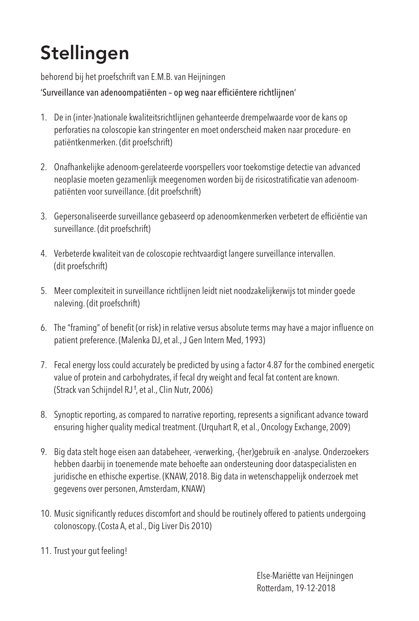## Stellingen

behorend bij het proefschrift van E.M.B. van Heijningen

'Surveillance van adenoompatiënten – op weg naar efficiëntere richtlijnen'

- 1. De in (inter-)nationale kwaliteitsrichtlijnen gehanteerde drempelwaarde voor de kans op perforaties na coloscopie kan stringenter en moet onderscheid maken naar procedure- en patiëntkenmerken. (dit proefschrift)
- 2. Onafhankelijke adenoom-gerelateerde voorspellers voor toekomstige detectie van advanced neoplasie moeten gezamenlijk meegenomen worden bij de risicostratificatie van adenoompatiënten voor surveillance. (dit proefschrift)
- 3. Gepersonaliseerde surveillance gebaseerd op adenoomkenmerken verbetert de efficiëntie van surveillance. (dit proefschrift)
- 4. Verbeterde kwaliteit van de coloscopie rechtvaardigt langere surveillance intervallen. (dit proefschrift)
- 5. Meer complexiteit in surveillance richtlijnen leidt niet noodzakelijkerwijs tot minder goede naleving. (dit proefschrift)
- 6. The "framing" of benefit (or risk) in relative versus absolute terms may have a major influence on patient preference. (Malenka DJ, et al.,J Gen Intern Med, 1993)
- 7. Fecal energyloss could accurately be predicted by using a factor 4.87 for the combined energetic value of protein and carbohydrates, if fecal dry weight and fecal fat content are known. (Strack van Schijndel RJ †, et al., Clin Nutr, 2006)
- 8. Synoptic reporting, as compared to narrative reporting, represents a significant advance toward ensuring higher quality medical treatment. (Urquhart R, et al., Oncology Exchange, 2009)
- 9. Big data stelt hoge eisen aan databeheer, -verwerking, -(her)gebruik en -analyse. Onderzoekers hebben daarbij in toenemende mate behoefte aan ondersteuning door dataspecialisten en juridische en ethische expertise. (KNAW, 2018. Big data in wetenschappelijk onderzoek met gegevens over personen, Amsterdam, KNAW)
- 10. Music significantly reduces discomfort and should be routinely offered to patients undergoing colonoscopy. (Costa A, et al., Dig Liver Dis 2010)
- 11. Trust your gut feeling!